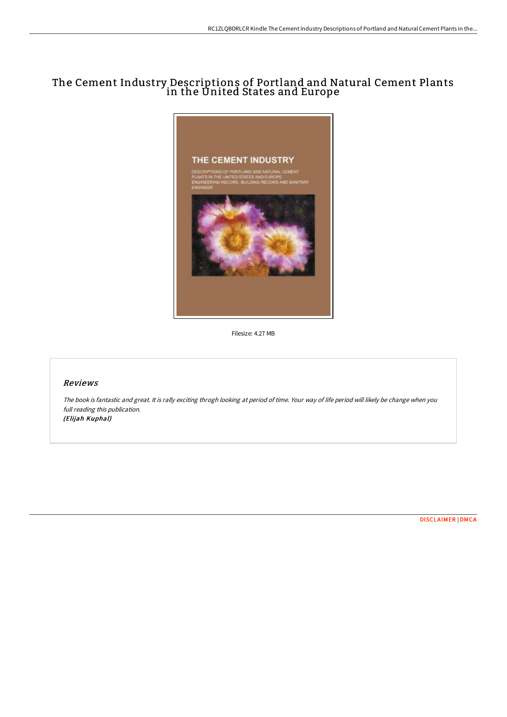# The Cement Industry Descriptions of Portland and Natural Cement Plants in the United States and Europe



Filesize: 4.27 MB

## Reviews

The book is fantastic and great. It is rally exciting throgh looking at period of time. Your way of life period will likely be change when you full reading this publication. (Elijah Kuphal)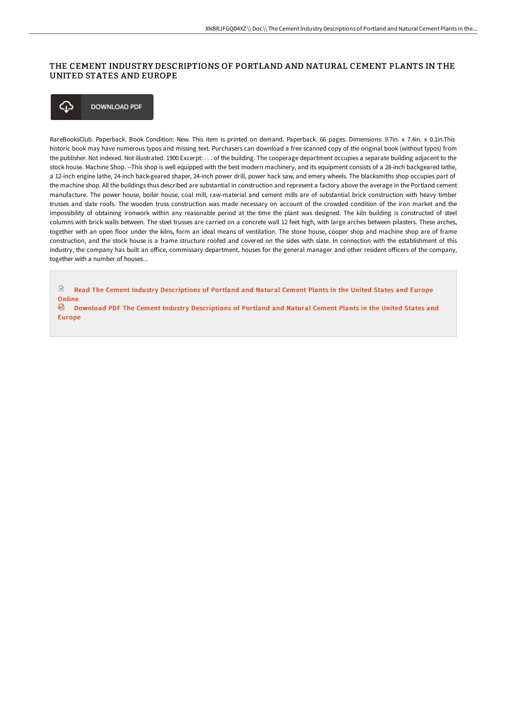## THE CEMENT INDUSTRY DESCRIPTIONS OF PORTLAND AND NATURAL CEMENT PLANTS IN THE UNITED STATES AND EUROPE

### ⊕ **DOWNLOAD PDF**

RareBooksClub. Paperback. Book Condition: New. This item is printed on demand. Paperback. 66 pages. Dimensions: 9.7in. x 7.4in. x 0.1in.This historic book may have numerous typos and missing text. Purchasers can download a free scanned copy of the original book (without typos) from the publisher. Not indexed. Not illustrated. 1900 Excerpt: . . . of the building. The cooperage department occupies a separate building adjacent to the stock house. Machine Shop. --This shop is well equipped with the best modern machinery, and its equipment consists of a 28-inch backgeared lathe, a 12-inch engine lathe, 24-inch back-geared shaper, 24-inch power drill, power hack saw, and emery wheels. The blacksmiths shop occupies part of the machine shop. All the buildings thus described are substantial in construction and represent a factory above the average in the Portland cement manufacture. The power house, boiler house, coal mill, raw-material and cement mills are of substantial brick construction with heavy timber trusses and slate roofs. The wooden truss construction was made necessary on account of the crowded condition of the iron market and the impossibility of obtaining ironwork within any reasonable period at the time the plant was designed. The kiln building is constructed of steel columns with brick walls between. The steel trusses are carried on a concrete wall 12 feet high, with large arches between pilasters. These arches, together with an open floor under the kilns, form an ideal means of ventilation. The stone house, cooper shop and machine shop are of frame construction, and the stock house is a frame structure roofed and covered on the sides with slate. In connection with the establishment of this industry, the company has built an office, commissary department, houses for the general manager and other resident officers of the company, together with a number of houses...

 $\Box$  Read The Cement Industry [Descriptions](http://www.bookdirs.com/the-cement-industry-descriptions-of-portland-and.html) of Portland and Natural Cement Plants in the United States and Europe Online

**Download PDF The Cement Industry [Descriptions](http://www.bookdirs.com/the-cement-industry-descriptions-of-portland-and.html) of Portland and Natural Cement Plants in the United States and** Europe